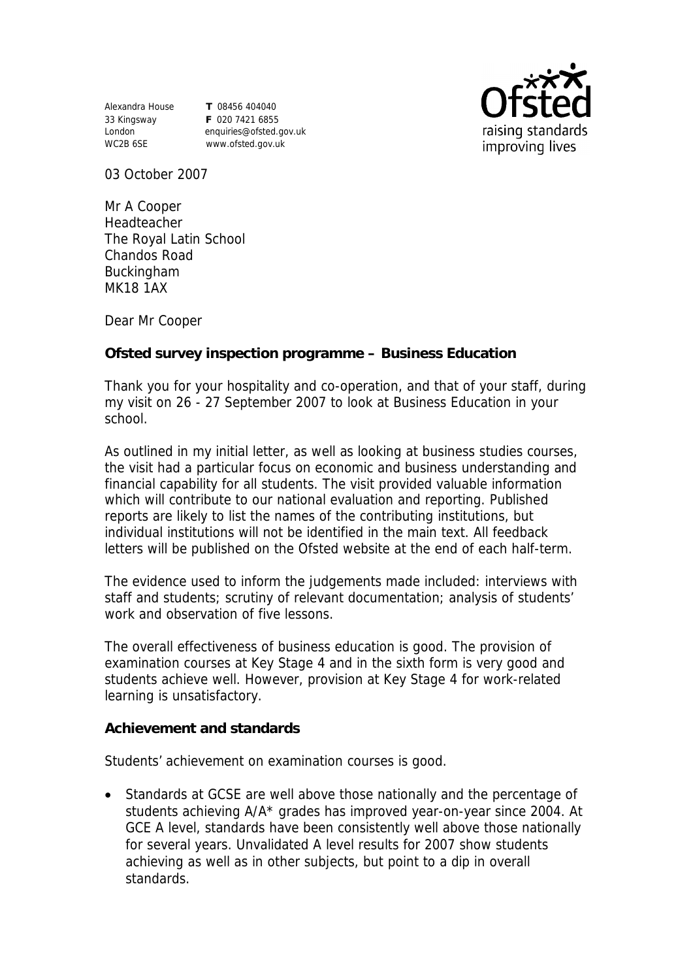Alexandra House **T** 08456 404040 33 Kingsway **F** 020 7421 6855 WC2B 6SE www.ofsted.gov.uk

London enquiries@ofsted.gov.uk



03 October 2007

Mr A Cooper Headteacher The Royal Latin School Chandos Road Buckingham MK18 1AX

Dear Mr Cooper

**Ofsted survey inspection programme – Business Education** 

Thank you for your hospitality and co-operation, and that of your staff, during my visit on 26 - 27 September 2007 to look at Business Education in your school.

As outlined in my initial letter, as well as looking at business studies courses, the visit had a particular focus on economic and business understanding and financial capability for all students. The visit provided valuable information which will contribute to our national evaluation and reporting. Published reports are likely to list the names of the contributing institutions, but individual institutions will not be identified in the main text. All feedback letters will be published on the Ofsted website at the end of each half-term.

The evidence used to inform the judgements made included: interviews with staff and students; scrutiny of relevant documentation; analysis of students' work and observation of five lessons.

The overall effectiveness of business education is good. The provision of examination courses at Key Stage 4 and in the sixth form is very good and students achieve well. However, provision at Key Stage 4 for work-related learning is unsatisfactory.

**Achievement and standards** 

Students' achievement on examination courses is good.

 Standards at GCSE are well above those nationally and the percentage of students achieving A/A\* grades has improved year-on-year since 2004. At GCE A level, standards have been consistently well above those nationally for several years. Unvalidated A level results for 2007 show students achieving as well as in other subjects, but point to a dip in overall standards.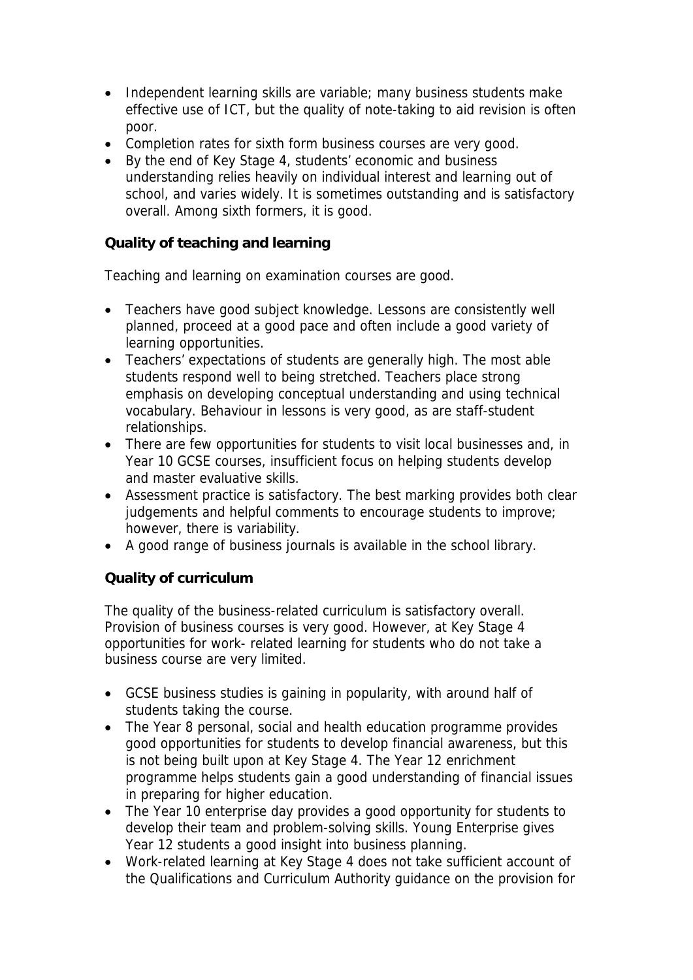- Independent learning skills are variable; many business students make effective use of ICT, but the quality of note-taking to aid revision is often poor.
- Completion rates for sixth form business courses are very good.
- By the end of Key Stage 4, students' economic and business understanding relies heavily on individual interest and learning out of school, and varies widely. It is sometimes outstanding and is satisfactory overall. Among sixth formers, it is good.

**Quality of teaching and learning** 

Teaching and learning on examination courses are good.

- Teachers have good subject knowledge. Lessons are consistently well planned, proceed at a good pace and often include a good variety of learning opportunities.
- Teachers' expectations of students are generally high. The most able students respond well to being stretched. Teachers place strong emphasis on developing conceptual understanding and using technical vocabulary. Behaviour in lessons is very good, as are staff-student relationships.
- There are few opportunities for students to visit local businesses and, in Year 10 GCSE courses, insufficient focus on helping students develop and master evaluative skills.
- Assessment practice is satisfactory. The best marking provides both clear judgements and helpful comments to encourage students to improve; however, there is variability.
- A good range of business journals is available in the school library.

## **Quality of curriculum**

The quality of the business-related curriculum is satisfactory overall. Provision of business courses is very good. However, at Key Stage 4 opportunities for work- related learning for students who do not take a business course are very limited.

- GCSE business studies is gaining in popularity, with around half of students taking the course.
- The Year 8 personal, social and health education programme provides good opportunities for students to develop financial awareness, but this is not being built upon at Key Stage 4. The Year 12 enrichment programme helps students gain a good understanding of financial issues in preparing for higher education.
- The Year 10 enterprise day provides a good opportunity for students to develop their team and problem-solving skills. Young Enterprise gives Year 12 students a good insight into business planning.
- Work-related learning at Key Stage 4 does not take sufficient account of the Qualifications and Curriculum Authority guidance on the provision for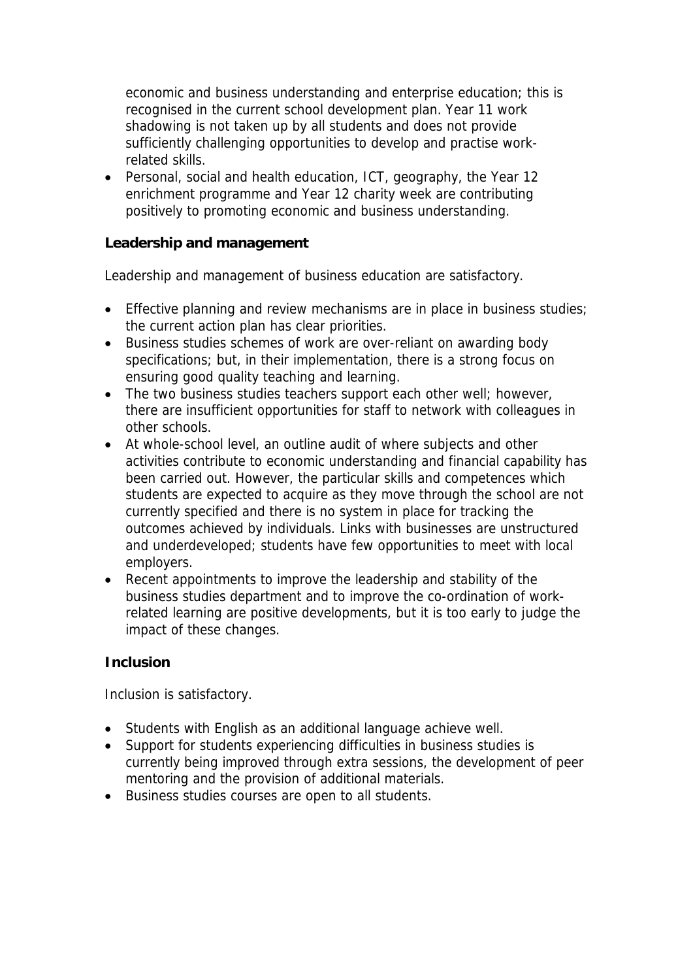economic and business understanding and enterprise education; this is recognised in the current school development plan. Year 11 work shadowing is not taken up by all students and does not provide sufficiently challenging opportunities to develop and practise workrelated skills.

 Personal, social and health education, ICT, geography, the Year 12 enrichment programme and Year 12 charity week are contributing positively to promoting economic and business understanding.

**Leadership and management** 

Leadership and management of business education are satisfactory.

- **Effective planning and review mechanisms are in place in business studies;** the current action plan has clear priorities.
- Business studies schemes of work are over-reliant on awarding body specifications; but, in their implementation, there is a strong focus on ensuring good quality teaching and learning.
- The two business studies teachers support each other well; however, there are insufficient opportunities for staff to network with colleagues in other schools.
- At whole-school level, an outline audit of where subjects and other activities contribute to economic understanding and financial capability has been carried out. However, the particular skills and competences which students are expected to acquire as they move through the school are not currently specified and there is no system in place for tracking the outcomes achieved by individuals. Links with businesses are unstructured and underdeveloped; students have few opportunities to meet with local employers.
- Recent appointments to improve the leadership and stability of the business studies department and to improve the co-ordination of workrelated learning are positive developments, but it is too early to judge the impact of these changes.

## **Inclusion**

Inclusion is satisfactory.

- Students with English as an additional language achieve well.
- Support for students experiencing difficulties in business studies is currently being improved through extra sessions, the development of peer mentoring and the provision of additional materials.
- Business studies courses are open to all students.